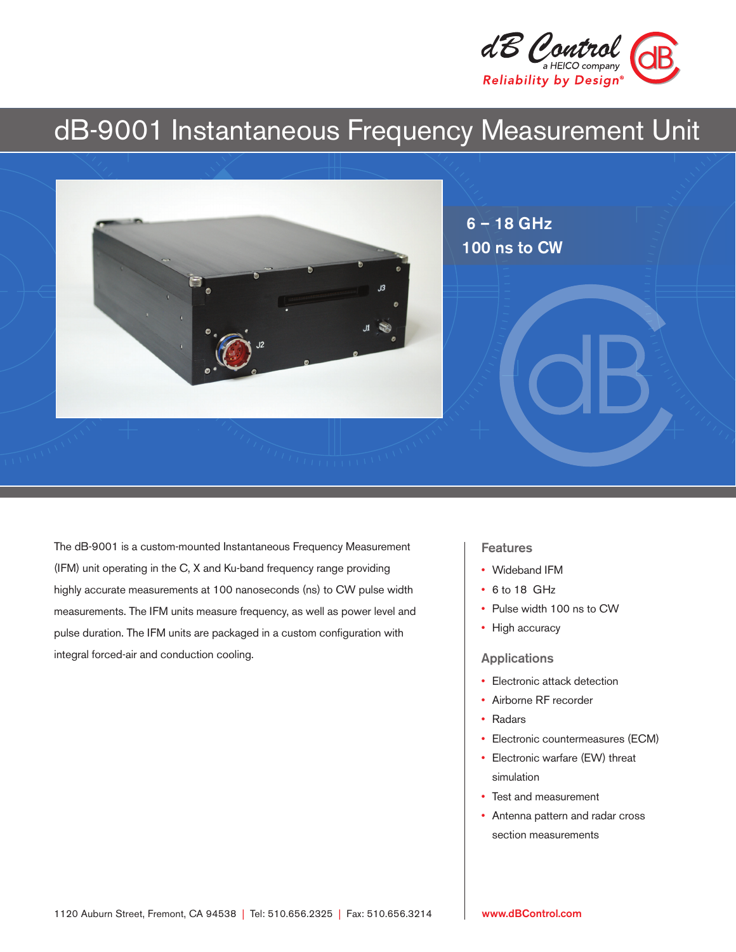

# dB-9001 Instantaneous Frequency Measurement Unit



The dB-9001 is a custom-mounted Instantaneous Frequency Measurement (IFM) unit operating in the C, X and Ku-band frequency range providing highly accurate measurements at 100 nanoseconds (ns) to CW pulse width measurements. The IFM units measure frequency, as well as power level and pulse duration. The IFM units are packaged in a custom configuration with integral forced-air and conduction cooling.

#### **Features**

- Wideband IFM
- 6 to 18 GHz
- Pulse width 100 ns to CW
- High accuracy

#### Applications

- Electronic attack detection
- Airborne RF recorder
- Radars
- Electronic countermeasures (ECM)
- Electronic warfare (EW) threat simulation
- Test and measurement
- Antenna pattern and radar cross section measurements